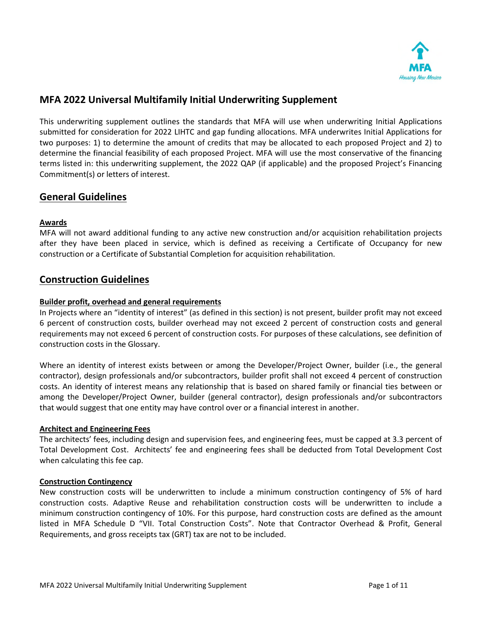

# **MFA 2022 Universal Multifamily Initial Underwriting Supplement**

This underwriting supplement outlines the standards that MFA will use when underwriting Initial Applications submitted for consideration for 2022 LIHTC and gap funding allocations. MFA underwrites Initial Applications for two purposes: 1) to determine the amount of credits that may be allocated to each proposed Project and 2) to determine the financial feasibility of each proposed Project. MFA will use the most conservative of the financing terms listed in: this underwriting supplement, the 2022 QAP (if applicable) and the proposed Project's Financing Commitment(s) or letters of interest.

# **General Guidelines**

## **Awards**

MFA will not award additional funding to any active new construction and/or acquisition rehabilitation projects after they have been placed in service, which is defined as receiving a Certificate of Occupancy for new construction or a Certificate of Substantial Completion for acquisition rehabilitation.

# **Construction Guidelines**

### **Builder profit, overhead and general requirements**

In Projects where an "identity of interest" (as defined in this section) is not present, builder profit may not exceed 6 percent of construction costs, builder overhead may not exceed 2 percent of construction costs and general requirements may not exceed 6 percent of construction costs. For purposes of these calculations, see definition of construction costs in the Glossary.

Where an identity of interest exists between or among the Developer/Project Owner, builder (i.e., the general contractor), design professionals and/or subcontractors, builder profit shall not exceed 4 percent of construction costs. An identity of interest means any relationship that is based on shared family or financial ties between or among the Developer/Project Owner, builder (general contractor), design professionals and/or subcontractors that would suggest that one entity may have control over or a financial interest in another.

#### **Architect and Engineering Fees**

The architects' fees, including design and supervision fees, and engineering fees, must be capped at 3.3 percent of Total Development Cost. Architects' fee and engineering fees shall be deducted from Total Development Cost when calculating this fee cap.

#### **Construction Contingency**

New construction costs will be underwritten to include a minimum construction contingency of 5% of hard construction costs. Adaptive Reuse and rehabilitation construction costs will be underwritten to include a minimum construction contingency of 10%. For this purpose, hard construction costs are defined as the amount listed in MFA Schedule D "VII. Total Construction Costs". Note that Contractor Overhead & Profit, General Requirements, and gross receipts tax (GRT) tax are not to be included.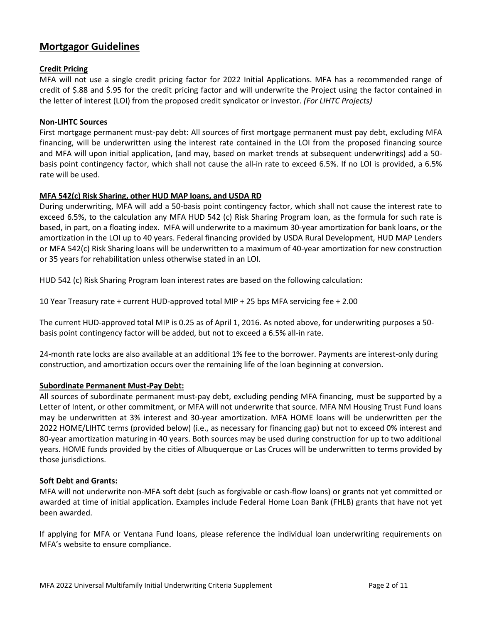# **Mortgagor Guidelines**

## **Credit Pricing**

MFA will not use a single credit pricing factor for 2022 Initial Applications. MFA has a recommended range of credit of \$.88 and \$.95 for the credit pricing factor and will underwrite the Project using the factor contained in the letter of interest (LOI) from the proposed credit syndicator or investor. *(For LIHTC Projects)*

### **Non-LIHTC Sources**

First mortgage permanent must-pay debt: All sources of first mortgage permanent must pay debt, excluding MFA financing, will be underwritten using the interest rate contained in the LOI from the proposed financing source and MFA will upon initial application, (and may, based on market trends at subsequent underwritings) add a 50 basis point contingency factor, which shall not cause the all-in rate to exceed 6.5%. If no LOI is provided, a 6.5% rate will be used.

## **MFA 542(c) Risk Sharing, other HUD MAP loans, and USDA RD**

During underwriting, MFA will add a 50-basis point contingency factor, which shall not cause the interest rate to exceed 6.5%, to the calculation any MFA HUD 542 (c) Risk Sharing Program loan, as the formula for such rate is based, in part, on a floating index. MFA will underwrite to a maximum 30-year amortization for bank loans, or the amortization in the LOI up to 40 years. Federal financing provided by USDA Rural Development, HUD MAP Lenders or MFA 542(c) Risk Sharing loans will be underwritten to a maximum of 40-year amortization for new construction or 35 years for rehabilitation unless otherwise stated in an LOI.

HUD 542 (c) Risk Sharing Program loan interest rates are based on the following calculation:

10 Year Treasury rate + current HUD-approved total MIP + 25 bps MFA servicing fee + 2.00

The current HUD-approved total MIP is 0.25 as of April 1, 2016. As noted above, for underwriting purposes a 50 basis point contingency factor will be added, but not to exceed a 6.5% all-in rate.

24-month rate locks are also available at an additional 1% fee to the borrower. Payments are interest-only during construction, and amortization occurs over the remaining life of the loan beginning at conversion.

## **Subordinate Permanent Must-Pay Debt:**

All sources of subordinate permanent must-pay debt, excluding pending MFA financing, must be supported by a Letter of Intent, or other commitment, or MFA will not underwrite that source. MFA NM Housing Trust Fund loans may be underwritten at 3% interest and 30-year amortization. MFA HOME loans will be underwritten per the 2022 HOME/LIHTC terms (provided below) (i.e., as necessary for financing gap) but not to exceed 0% interest and 80-year amortization maturing in 40 years. Both sources may be used during construction for up to two additional years. HOME funds provided by the cities of Albuquerque or Las Cruces will be underwritten to terms provided by those jurisdictions.

#### **Soft Debt and Grants:**

MFA will not underwrite non-MFA soft debt (such as forgivable or cash-flow loans) or grants not yet committed or awarded at time of initial application. Examples include Federal Home Loan Bank (FHLB) grants that have not yet been awarded.

If applying for MFA or Ventana Fund loans, please reference the individual loan underwriting requirements on MFA's website to ensure compliance.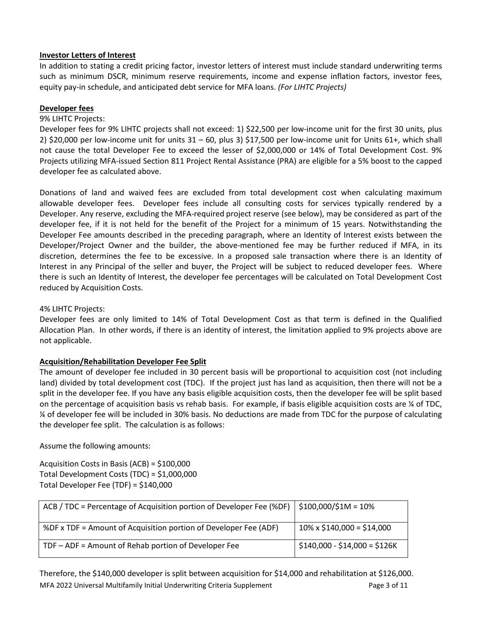# **Investor Letters of Interest**

In addition to stating a credit pricing factor, investor letters of interest must include standard underwriting terms such as minimum DSCR, minimum reserve requirements, income and expense inflation factors, investor fees, equity pay-in schedule, and anticipated debt service for MFA loans. *(For LIHTC Projects)*

# **Developer fees**

# 9% LIHTC Projects:

Developer fees for 9% LIHTC projects shall not exceed: 1) \$22,500 per low-income unit for the first 30 units, plus 2) \$20,000 per low-income unit for units  $31 - 60$ , plus 3) \$17,500 per low-income unit for Units 61+, which shall not cause the total Developer Fee to exceed the lesser of \$2,000,000 or 14% of Total Development Cost. 9% Projects utilizing MFA-issued Section 811 Project Rental Assistance (PRA) are eligible for a 5% boost to the capped developer fee as calculated above.

Donations of land and waived fees are excluded from total development cost when calculating maximum allowable developer fees. Developer fees include all consulting costs for services typically rendered by a Developer. Any reserve, excluding the MFA-required project reserve (see below), may be considered as part of the developer fee, if it is not held for the benefit of the Project for a minimum of 15 years. Notwithstanding the Developer Fee amounts described in the preceding paragraph, where an Identity of Interest exists between the Developer/Project Owner and the builder, the above-mentioned fee may be further reduced if MFA, in its discretion, determines the fee to be excessive. In a proposed sale transaction where there is an Identity of Interest in any Principal of the seller and buyer, the Project will be subject to reduced developer fees. Where there is such an Identity of Interest, the developer fee percentages will be calculated on Total Development Cost reduced by Acquisition Costs.

# 4% LIHTC Projects:

Developer fees are only limited to 14% of Total Development Cost as that term is defined in the Qualified Allocation Plan. In other words, if there is an identity of interest, the limitation applied to 9% projects above are not applicable.

## **Acquisition/Rehabilitation Developer Fee Split**

The amount of developer fee included in 30 percent basis will be proportional to acquisition cost (not including land) divided by total development cost (TDC). If the project just has land as acquisition, then there will not be a split in the developer fee. If you have any basis eligible acquisition costs, then the developer fee will be split based on the percentage of acquisition basis vs rehab basis. For example, if basis eligible acquisition costs are  $\frac{1}{4}$  of TDC, ¼ of developer fee will be included in 30% basis. No deductions are made from TDC for the purpose of calculating the developer fee split. The calculation is as follows:

Assume the following amounts:

Acquisition Costs in Basis (ACB) = \$100,000 Total Development Costs (TDC) = \$1,000,000 Total Developer Fee (TDF) = \$140,000

| ACB / TDC = Percentage of Acquisition portion of Developer Fee (%DF) $\vert$ \$100,000/\$1M = 10% |                                  |
|---------------------------------------------------------------------------------------------------|----------------------------------|
| %DF x TDF = Amount of Acquisition portion of Developer Fee (ADF)                                  | $10\% \times $140,000 = $14,000$ |
| TDF – ADF = Amount of Rehab portion of Developer Fee                                              | $$140,000 - $14,000 = $126K$     |

MFA 2022 Universal Multifamily Initial Underwriting Criteria Supplement Page 3 of 11 Therefore, the \$140,000 developer is split between acquisition for \$14,000 and rehabilitation at \$126,000.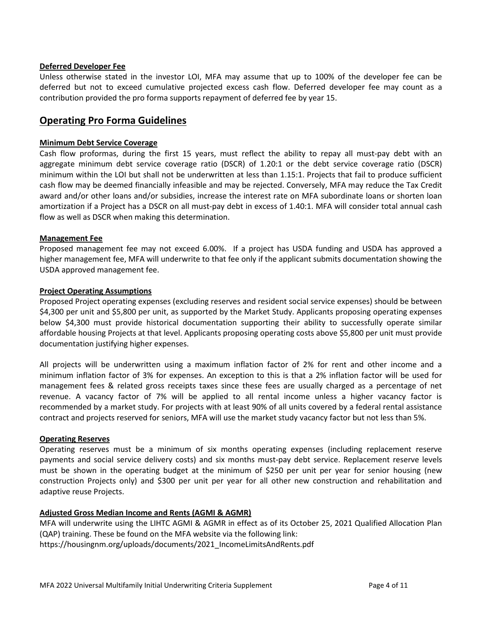### **Deferred Developer Fee**

Unless otherwise stated in the investor LOI, MFA may assume that up to 100% of the developer fee can be deferred but not to exceed cumulative projected excess cash flow. Deferred developer fee may count as a contribution provided the pro forma supports repayment of deferred fee by year 15.

# **Operating Pro Forma Guidelines**

### **Minimum Debt Service Coverage**

Cash flow proformas, during the first 15 years, must reflect the ability to repay all must-pay debt with an aggregate minimum debt service coverage ratio (DSCR) of 1.20:1 or the debt service coverage ratio (DSCR) minimum within the LOI but shall not be underwritten at less than 1.15:1. Projects that fail to produce sufficient cash flow may be deemed financially infeasible and may be rejected. Conversely, MFA may reduce the Tax Credit award and/or other loans and/or subsidies, increase the interest rate on MFA subordinate loans or shorten loan amortization if a Project has a DSCR on all must-pay debt in excess of 1.40:1. MFA will consider total annual cash flow as well as DSCR when making this determination.

### **Management Fee**

Proposed management fee may not exceed 6.00%. If a project has USDA funding and USDA has approved a higher management fee, MFA will underwrite to that fee only if the applicant submits documentation showing the USDA approved management fee.

### **Project Operating Assumptions**

Proposed Project operating expenses (excluding reserves and resident social service expenses) should be between \$4,300 per unit and \$5,800 per unit, as supported by the Market Study. Applicants proposing operating expenses below \$4,300 must provide historical documentation supporting their ability to successfully operate similar affordable housing Projects at that level. Applicants proposing operating costs above \$5,800 per unit must provide documentation justifying higher expenses.

All projects will be underwritten using a maximum inflation factor of 2% for rent and other income and a minimum inflation factor of 3% for expenses. An exception to this is that a 2% inflation factor will be used for management fees & related gross receipts taxes since these fees are usually charged as a percentage of net revenue. A vacancy factor of 7% will be applied to all rental income unless a higher vacancy factor is recommended by a market study. For projects with at least 90% of all units covered by a federal rental assistance contract and projects reserved for seniors, MFA will use the market study vacancy factor but not less than 5%.

#### **Operating Reserves**

Operating reserves must be a minimum of six months operating expenses (including replacement reserve payments and social service delivery costs) and six months must-pay debt service. Replacement reserve levels must be shown in the operating budget at the minimum of \$250 per unit per year for senior housing (new construction Projects only) and \$300 per unit per year for all other new construction and rehabilitation and adaptive reuse Projects.

## **Adjusted Gross Median Income and Rents (AGMI & AGMR)**

MFA will underwrite using the LIHTC AGMI & AGMR in effect as of its October 25, 2021 Qualified Allocation Plan (QAP) training. These be found on the MFA website via the following link: https://housingnm.org/uploads/documents/2021\_IncomeLimitsAndRents.pdf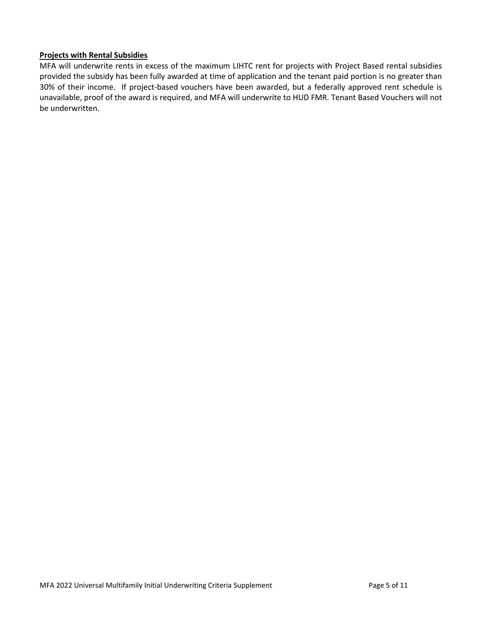## **Projects with Rental Subsidies**

MFA will underwrite rents in excess of the maximum LIHTC rent for projects with Project Based rental subsidies provided the subsidy has been fully awarded at time of application and the tenant paid portion is no greater than 30% of their income. If project-based vouchers have been awarded, but a federally approved rent schedule is unavailable, proof of the award is required, and MFA will underwrite to HUD FMR. Tenant Based Vouchers will not be underwritten.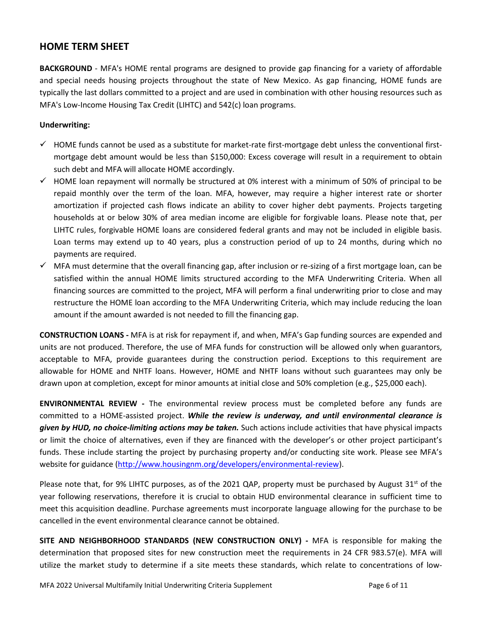# **HOME TERM SHEET**

**BACKGROUND** - MFA's HOME rental programs are designed to provide gap financing for a variety of affordable and special needs housing projects throughout the state of New Mexico. As gap financing, HOME funds are typically the last dollars committed to a project and are used in combination with other housing resources such as MFA's Low-Income Housing Tax Credit (LIHTC) and 542(c) loan programs.

## **Underwriting:**

- $\checkmark$  HOME funds cannot be used as a substitute for market-rate first-mortgage debt unless the conventional firstmortgage debt amount would be less than \$150,000: Excess coverage will result in a requirement to obtain such debt and MFA will allocate HOME accordingly.
- $\checkmark$  HOME loan repayment will normally be structured at 0% interest with a minimum of 50% of principal to be repaid monthly over the term of the loan. MFA, however, may require a higher interest rate or shorter amortization if projected cash flows indicate an ability to cover higher debt payments. Projects targeting households at or below 30% of area median income are eligible for forgivable loans. Please note that, per LIHTC rules, forgivable HOME loans are considered federal grants and may not be included in eligible basis. Loan terms may extend up to 40 years, plus a construction period of up to 24 months, during which no payments are required.
- $\checkmark$  MFA must determine that the overall financing gap, after inclusion or re-sizing of a first mortgage loan, can be satisfied within the annual HOME limits structured according to the MFA Underwriting Criteria. When all financing sources are committed to the project, MFA will perform a final underwriting prior to close and may restructure the HOME loan according to the MFA Underwriting Criteria, which may include reducing the loan amount if the amount awarded is not needed to fill the financing gap.

**CONSTRUCTION LOANS -** MFA is at risk for repayment if, and when, MFA's Gap funding sources are expended and units are not produced. Therefore, the use of MFA funds for construction will be allowed only when guarantors, acceptable to MFA, provide guarantees during the construction period. Exceptions to this requirement are allowable for HOME and NHTF loans. However, HOME and NHTF loans without such guarantees may only be drawn upon at completion, except for minor amounts at initial close and 50% completion (e.g., \$25,000 each).

**ENVIRONMENTAL REVIEW -** The environmental review process must be completed before any funds are committed to a HOME-assisted project. *While the review is underway, and until environmental clearance is given by HUD, no choice-limiting actions may be taken.* Such actions include activities that have physical impacts or limit the choice of alternatives, even if they are financed with the developer's or other project participant's funds. These include starting the project by purchasing property and/or conducting site work. Please see MFA's website for guidance [\(http://www.housingnm.org/developers/environmental-review\)](http://www.housingnm.org/developers/environmental-review).

Please note that, for 9% LIHTC purposes, as of the 2021 QAP, property must be purchased by August 31<sup>st</sup> of the year following reservations, therefore it is crucial to obtain HUD environmental clearance in sufficient time to meet this acquisition deadline. Purchase agreements must incorporate language allowing for the purchase to be cancelled in the event environmental clearance cannot be obtained.

**SITE AND NEIGHBORHOOD STANDARDS (NEW CONSTRUCTION ONLY) -** MFA is responsible for making the determination that proposed sites for new construction meet the requirements in 24 CFR 983.57(e). MFA will utilize the market study to determine if a site meets these standards, which relate to concentrations of low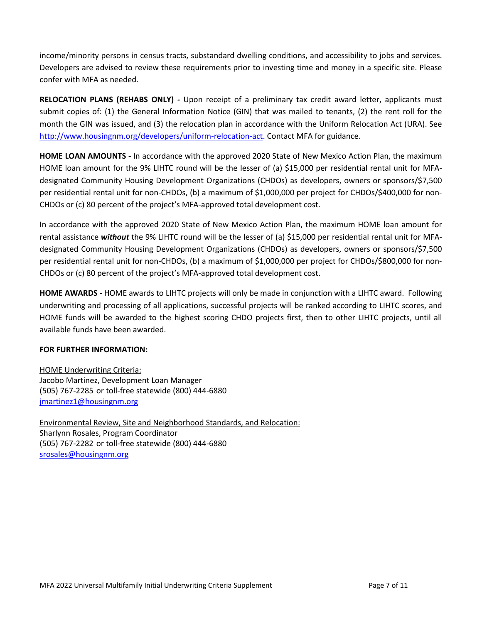income/minority persons in census tracts, substandard dwelling conditions, and accessibility to jobs and services. Developers are advised to review these requirements prior to investing time and money in a specific site. Please confer with MFA as needed.

**RELOCATION PLANS (REHABS ONLY) -** Upon receipt of a preliminary tax credit award letter, applicants must submit copies of: (1) the General Information Notice (GIN) that was mailed to tenants, (2) the rent roll for the month the GIN was issued, and (3) the relocation plan in accordance with the Uniform Relocation Act (URA). See [http://www.housingnm.org/developers/uniform-relocation-act.](http://www.housingnm.org/developers/uniform-relocation-act) Contact MFA for guidance.

**HOME LOAN AMOUNTS -** In accordance with the approved 2020 State of New Mexico Action Plan, the maximum HOME loan amount for the 9% LIHTC round will be the lesser of (a) \$15,000 per residential rental unit for MFAdesignated Community Housing Development Organizations (CHDOs) as developers, owners or sponsors/\$7,500 per residential rental unit for non-CHDOs, (b) a maximum of \$1,000,000 per project for CHDOs/\$400,000 for non-CHDOs or (c) 80 percent of the project's MFA-approved total development cost.

In accordance with the approved 2020 State of New Mexico Action Plan, the maximum HOME loan amount for rental assistance *without* the 9% LIHTC round will be the lesser of (a) \$15,000 per residential rental unit for MFAdesignated Community Housing Development Organizations (CHDOs) as developers, owners or sponsors/\$7,500 per residential rental unit for non-CHDOs, (b) a maximum of \$1,000,000 per project for CHDOs/\$800,000 for non-CHDOs or (c) 80 percent of the project's MFA-approved total development cost.

**HOME AWARDS -** HOME awards to LIHTC projects will only be made in conjunction with a LIHTC award. Following underwriting and processing of all applications, successful projects will be ranked according to LIHTC scores, and HOME funds will be awarded to the highest scoring CHDO projects first, then to other LIHTC projects, until all available funds have been awarded.

# **FOR FURTHER INFORMATION:**

HOME Underwriting Criteria: Jacobo Martinez, Development Loan Manager (505) 767-2285 or toll-free statewide (800) 444-6880 [jmartinez1@housingnm.org](mailto:jmartinez1@housingnm.org) 

Environmental Review, Site and Neighborhood Standards, and Relocation: Sharlynn Rosales, Program Coordinator (505) 767-2282 or toll-free statewide (800) 444-6880 [srosales@housingnm.org](mailto:srosales@housingnm.org)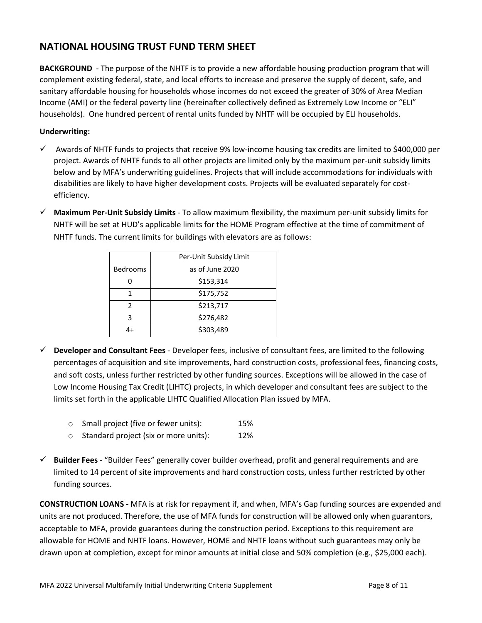# **NATIONAL HOUSING TRUST FUND TERM SHEET**

**BACKGROUND** - The purpose of the NHTF is to provide a new affordable housing production program that will complement existing federal, state, and local efforts to increase and preserve the supply of decent, safe, and sanitary affordable housing for households whose incomes do not exceed the greater of 30% of Area Median Income (AMI) or the federal poverty line (hereinafter collectively defined as Extremely Low Income or "ELI" households). One hundred percent of rental units funded by NHTF will be occupied by ELI households.

# **Underwriting:**

- $\checkmark$  Awards of NHTF funds to projects that receive 9% low-income housing tax credits are limited to \$400,000 per project. Awards of NHTF funds to all other projects are limited only by the maximum per-unit subsidy limits below and by MFA's underwriting guidelines. Projects that will include accommodations for individuals with disabilities are likely to have higher development costs. Projects will be evaluated separately for costefficiency.
- **Maximum Per-Unit Subsidy Limits** To allow maximum flexibility, the maximum per-unit subsidy limits for NHTF will be set at HUD's applicable limits for the HOME Program effective at the time of commitment of NHTF funds. The current limits for buildings with elevators are as follows:

|                 | Per-Unit Subsidy Limit |
|-----------------|------------------------|
| <b>Bedrooms</b> | as of June 2020        |
|                 | \$153,314              |
|                 | \$175,752              |
| 2               | \$213,717              |
| ঽ               | \$276,482              |
|                 | \$303,489              |

- **Developer and Consultant Fees**  Developer fees, inclusive of consultant fees, are limited to the following percentages of acquisition and site improvements, hard construction costs, professional fees, financing costs, and soft costs, unless further restricted by other funding sources. Exceptions will be allowed in the case of Low Income Housing Tax Credit (LIHTC) projects, in which developer and consultant fees are subject to the limits set forth in the applicable LIHTC Qualified Allocation Plan issued by MFA.
	- o Small project (five or fewer units): 15%
	- o Standard project (six or more units): 12%
- **Builder Fees**  "Builder Fees" generally cover builder overhead, profit and general requirements and are limited to 14 percent of site improvements and hard construction costs, unless further restricted by other funding sources.

**CONSTRUCTION LOANS -** MFA is at risk for repayment if, and when, MFA's Gap funding sources are expended and units are not produced. Therefore, the use of MFA funds for construction will be allowed only when guarantors, acceptable to MFA, provide guarantees during the construction period. Exceptions to this requirement are allowable for HOME and NHTF loans. However, HOME and NHTF loans without such guarantees may only be drawn upon at completion, except for minor amounts at initial close and 50% completion (e.g., \$25,000 each).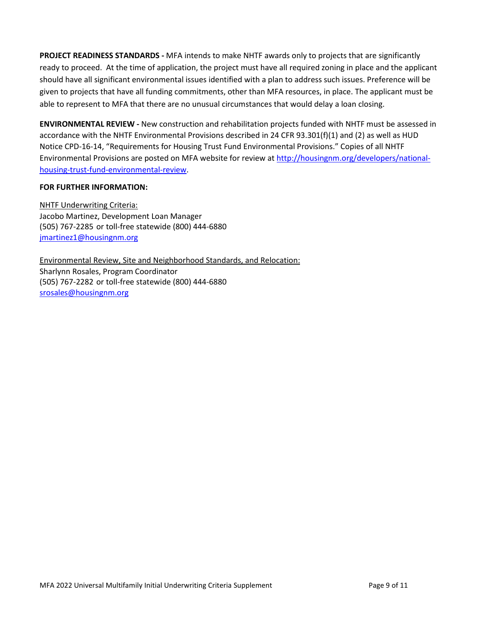**PROJECT READINESS STANDARDS -** MFA intends to make NHTF awards only to projects that are significantly ready to proceed. At the time of application, the project must have all required zoning in place and the applicant should have all significant environmental issues identified with a plan to address such issues. Preference will be given to projects that have all funding commitments, other than MFA resources, in place. The applicant must be able to represent to MFA that there are no unusual circumstances that would delay a loan closing.

**ENVIRONMENTAL REVIEW -** New construction and rehabilitation projects funded with NHTF must be assessed in accordance with the NHTF Environmental Provisions described in 24 CFR 93.301(f)(1) and (2) as well as HUD Notice CPD-16-14, "Requirements for Housing Trust Fund Environmental Provisions." Copies of all NHTF Environmental Provisions are posted on MFA website for review at [http://housingnm.org/developers/national](http://housingnm.org/developers/national-housing-trust-fund-environmental-review)[housing-trust-fund-environmental-review.](http://housingnm.org/developers/national-housing-trust-fund-environmental-review)

# **FOR FURTHER INFORMATION:**

NHTF Underwriting Criteria: Jacobo Martinez, Development Loan Manager (505) 767-2285 or toll-free statewide (800) 444-6880 [jmartinez1@housingnm.org](mailto:jmartinez1@housingnm.org) 

Environmental Review, Site and Neighborhood Standards, and Relocation: Sharlynn Rosales, Program Coordinator (505) 767-2282 or toll-free statewide (800) 444-6880 [srosales@housingnm.org](mailto:srosales@housingnm.org)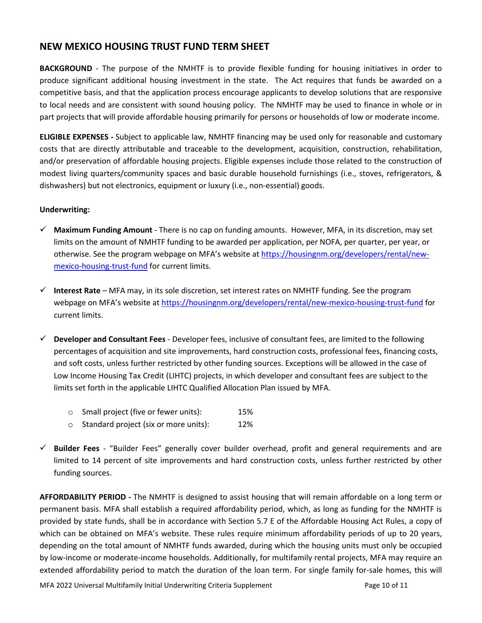# **NEW MEXICO HOUSING TRUST FUND TERM SHEET**

**BACKGROUND** - The purpose of the NMHTF is to provide flexible funding for housing initiatives in order to produce significant additional housing investment in the state. The Act requires that funds be awarded on a competitive basis, and that the application process encourage applicants to develop solutions that are responsive to local needs and are consistent with sound housing policy. The NMHTF may be used to finance in whole or in part projects that will provide affordable housing primarily for persons or households of low or moderate income.

**ELIGIBLE EXPENSES -** Subject to applicable law, NMHTF financing may be used only for reasonable and customary costs that are directly attributable and traceable to the development, acquisition, construction, rehabilitation, and/or preservation of affordable housing projects. Eligible expenses include those related to the construction of modest living quarters/community spaces and basic durable household furnishings (i.e., stoves, refrigerators, & dishwashers) but not electronics, equipment or luxury (i.e., non-essential) goods.

# **Underwriting:**

- **Maximum Funding Amount** There is no cap on funding amounts. However, MFA, in its discretion, may set limits on the amount of NMHTF funding to be awarded per application, per NOFA, per quarter, per year, or otherwise. See the program webpage on MFA's website at [https://housingnm.org/developers/rental/new](https://housingnm.org/developers/rental/new-mexico-housing-trust-fund)[mexico-housing-trust-fund](https://housingnm.org/developers/rental/new-mexico-housing-trust-fund) for current limits.
- **Interest Rate**  MFA may, in its sole discretion, set interest rates on NMHTF funding. See the program webpage on MFA's website at<https://housingnm.org/developers/rental/new-mexico-housing-trust-fund> for current limits.
- **Developer and Consultant Fees**  Developer fees, inclusive of consultant fees, are limited to the following percentages of acquisition and site improvements, hard construction costs, professional fees, financing costs, and soft costs, unless further restricted by other funding sources. Exceptions will be allowed in the case of Low Income Housing Tax Credit (LIHTC) projects, in which developer and consultant fees are subject to the limits set forth in the applicable LIHTC Qualified Allocation Plan issued by MFA.
	- o Small project (five or fewer units): 15%
	- o Standard project (six or more units): 12%
- **Builder Fees**  "Builder Fees" generally cover builder overhead, profit and general requirements and are limited to 14 percent of site improvements and hard construction costs, unless further restricted by other funding sources.

**AFFORDABILITY PERIOD -** The NMHTF is designed to assist housing that will remain affordable on a long term or permanent basis. MFA shall establish a required affordability period, which, as long as funding for the NMHTF is provided by state funds, shall be in accordance with Section 5.7 E of the Affordable Housing Act Rules, a copy of which can be obtained on MFA's website. These rules require minimum affordability periods of up to 20 years, depending on the total amount of NMHTF funds awarded, during which the housing units must only be occupied by low-income or moderate-income households. Additionally, for multifamily rental projects, MFA may require an extended affordability period to match the duration of the loan term. For single family for-sale homes, this will